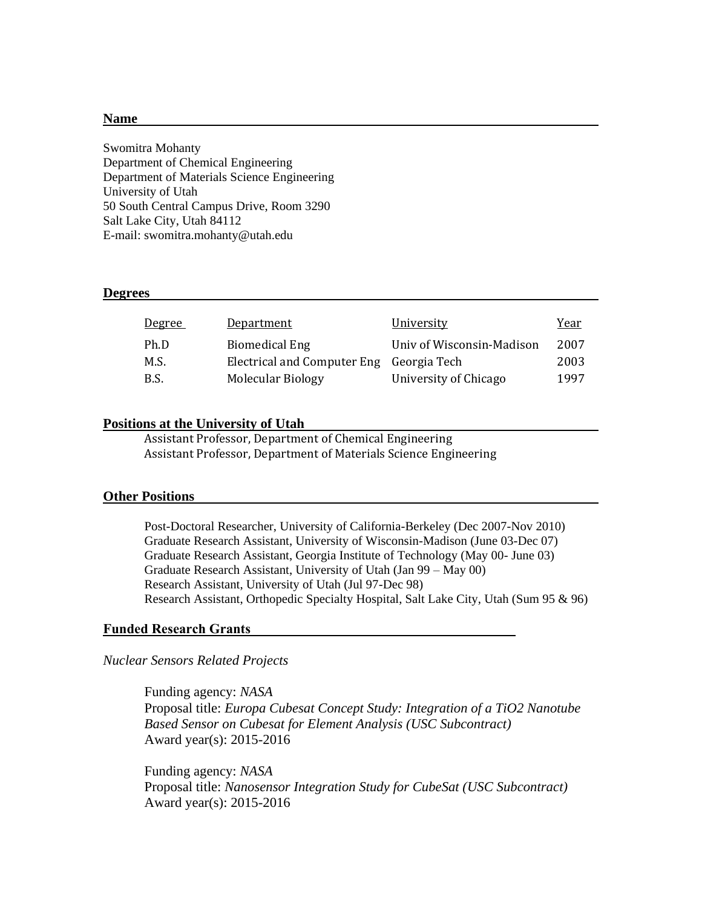#### **Name**

Swomitra Mohanty Department of Chemical Engineering Department of Materials Science Engineering University of Utah 50 South Central Campus Drive, Room 3290 Salt Lake City, Utah 84112 E-mail: swomitra.mohanty@utah.edu

#### **Degrees**

| <u>Degree</u> | <b>Department</b>                        | University                | Year |
|---------------|------------------------------------------|---------------------------|------|
| Ph.D          | <b>Biomedical Eng</b>                    | Univ of Wisconsin-Madison | 2007 |
| M.S.          | Electrical and Computer Eng Georgia Tech |                           | 2003 |
| B.S.          | Molecular Biology                        | University of Chicago     | 1997 |

### **Positions at the University of Utah**

Assistant Professor, Department of Chemical Engineering Assistant Professor, Department of Materials Science Engineering

#### **Other Positions**

Post-Doctoral Researcher, University of California-Berkeley (Dec 2007-Nov 2010) Graduate Research Assistant, University of Wisconsin-Madison (June 03-Dec 07) Graduate Research Assistant, Georgia Institute of Technology (May 00- June 03) Graduate Research Assistant, University of Utah (Jan 99 – May 00) Research Assistant, University of Utah (Jul 97-Dec 98) Research Assistant, Orthopedic Specialty Hospital, Salt Lake City, Utah (Sum 95 & 96)

#### **Funded Research Grants**

#### *Nuclear Sensors Related Projects*

Funding agency: *NASA* Proposal title: *Europa Cubesat Concept Study: Integration of a TiO2 Nanotube Based Sensor on Cubesat for Element Analysis (USC Subcontract)* Award year(s): 2015-2016

Funding agency: *NASA* Proposal title: *Nanosensor Integration Study for CubeSat (USC Subcontract)* Award year(s): 2015-2016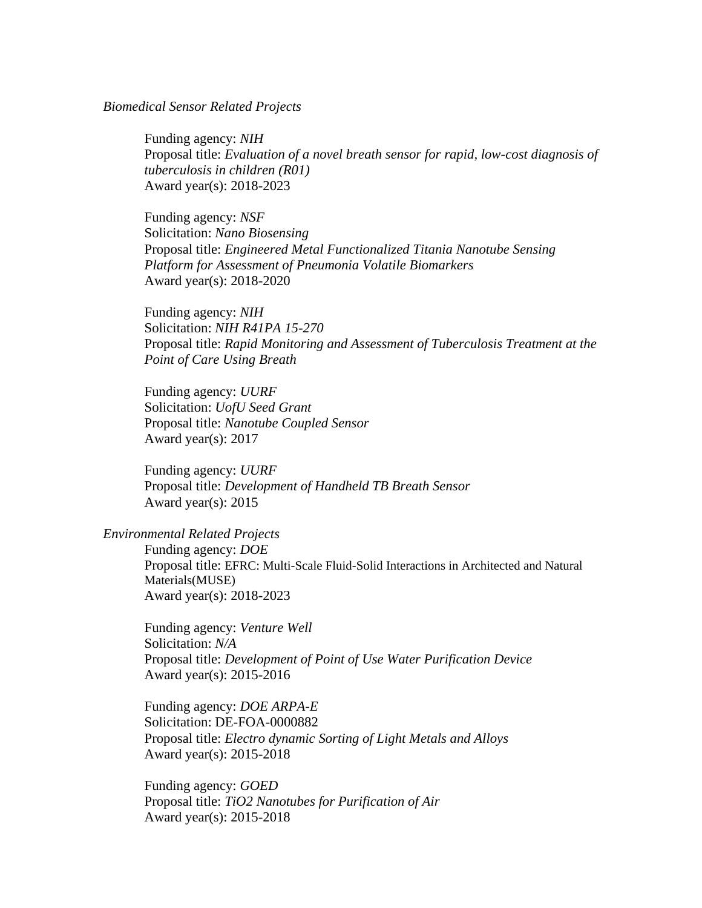### *Biomedical Sensor Related Projects*

Funding agency: *NIH* Proposal title: *Evaluation of a novel breath sensor for rapid, low-cost diagnosis of tuberculosis in children (R01)* Award year(s): 2018-2023

Funding agency: *NSF* Solicitation: *Nano Biosensing* Proposal title: *Engineered Metal Functionalized Titania Nanotube Sensing Platform for Assessment of Pneumonia Volatile Biomarkers* Award year(s): 2018-2020

 Funding agency: *NIH* Solicitation: *NIH R41PA 15-270* Proposal title: *Rapid Monitoring and Assessment of Tuberculosis Treatment at the Point of Care Using Breath*

Funding agency: *UURF* Solicitation: *UofU Seed Grant* Proposal title: *Nanotube Coupled Sensor* Award year(s): 2017

Funding agency: *UURF* Proposal title: *Development of Handheld TB Breath Sensor* Award year(s): 2015

### *Environmental Related Projects*

Funding agency: *DOE* Proposal title: EFRC: Multi-Scale Fluid-Solid Interactions in Architected and Natural Materials(MUSE) Award year(s): 2018-2023

 Funding agency: *Venture Well* Solicitation: *N/A* Proposal title: *Development of Point of Use Water Purification Device* Award year(s): 2015-2016

Funding agency: *DOE ARPA-E* Solicitation: DE-FOA-0000882 Proposal title: *Electro dynamic Sorting of Light Metals and Alloys* Award year(s): 2015-2018

Funding agency: *GOED* Proposal title: *TiO2 Nanotubes for Purification of Air* Award year(s): 2015-2018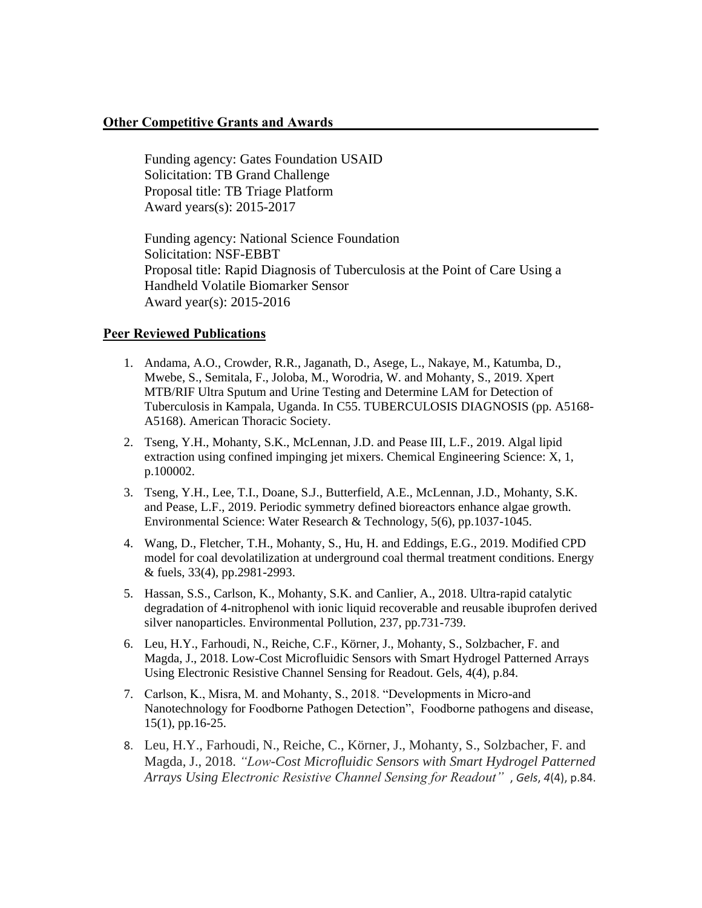# **Other Competitive Grants and Awards**

Funding agency: Gates Foundation USAID Solicitation: TB Grand Challenge Proposal title: TB Triage Platform Award years(s): 2015-2017

Funding agency: National Science Foundation Solicitation: NSF-EBBT Proposal title: Rapid Diagnosis of Tuberculosis at the Point of Care Using a Handheld Volatile Biomarker Sensor Award year(s): 2015-2016

# **Peer Reviewed Publications**

- 1. Andama, A.O., Crowder, R.R., Jaganath, D., Asege, L., Nakaye, M., Katumba, D., Mwebe, S., Semitala, F., Joloba, M., Worodria, W. and Mohanty, S., 2019. Xpert MTB/RIF Ultra Sputum and Urine Testing and Determine LAM for Detection of Tuberculosis in Kampala, Uganda. In C55. TUBERCULOSIS DIAGNOSIS (pp. A5168- A5168). American Thoracic Society.
- 2. Tseng, Y.H., Mohanty, S.K., McLennan, J.D. and Pease III, L.F., 2019. Algal lipid extraction using confined impinging jet mixers. Chemical Engineering Science: X, 1, p.100002.
- 3. Tseng, Y.H., Lee, T.I., Doane, S.J., Butterfield, A.E., McLennan, J.D., Mohanty, S.K. and Pease, L.F., 2019. Periodic symmetry defined bioreactors enhance algae growth. Environmental Science: Water Research & Technology, 5(6), pp.1037-1045.
- 4. Wang, D., Fletcher, T.H., Mohanty, S., Hu, H. and Eddings, E.G., 2019. Modified CPD model for coal devolatilization at underground coal thermal treatment conditions. Energy & fuels, 33(4), pp.2981-2993.
- 5. Hassan, S.S., Carlson, K., Mohanty, S.K. and Canlier, A., 2018. Ultra-rapid catalytic degradation of 4-nitrophenol with ionic liquid recoverable and reusable ibuprofen derived silver nanoparticles. Environmental Pollution, 237, pp.731-739.
- 6. Leu, H.Y., Farhoudi, N., Reiche, C.F., Körner, J., Mohanty, S., Solzbacher, F. and Magda, J., 2018. Low-Cost Microfluidic Sensors with Smart Hydrogel Patterned Arrays Using Electronic Resistive Channel Sensing for Readout. Gels, 4(4), p.84.
- 7. Carlson, K., Misra, M. and Mohanty, S., 2018. "Developments in Micro-and Nanotechnology for Foodborne Pathogen Detection", Foodborne pathogens and disease, 15(1), pp.16-25.
- 8. Leu, H.Y., Farhoudi, N., Reiche, C., Körner, J., Mohanty, S., Solzbacher, F. and Magda, J., 2018. *"Low-Cost Microfluidic Sensors with Smart Hydrogel Patterned Arrays Using Electronic Resistive Channel Sensing for Readout"* , *Gels*, *4*(4), p.84.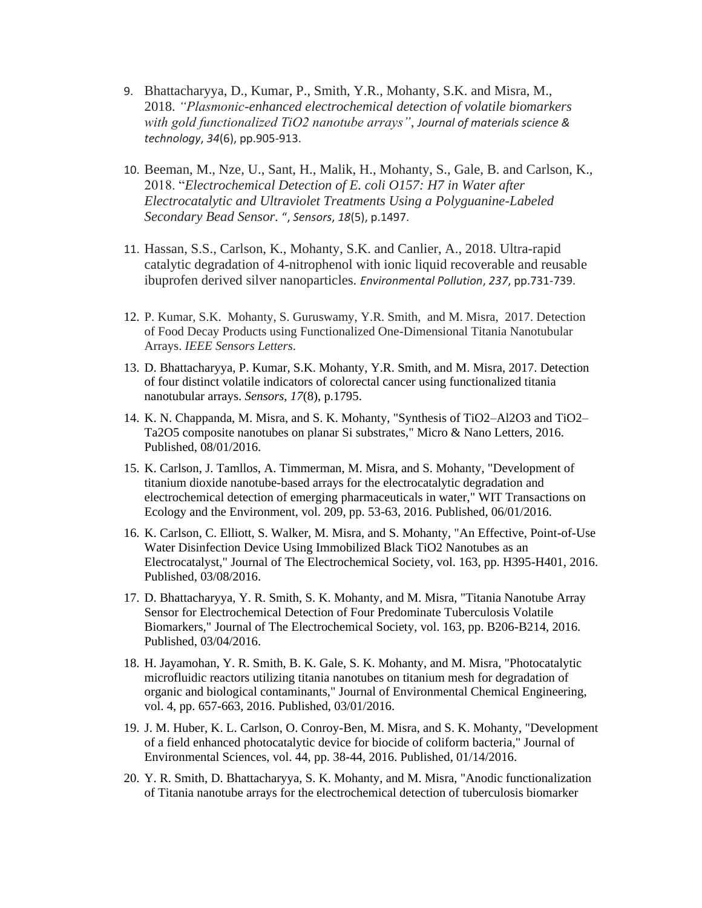- 9. Bhattacharyya, D., Kumar, P., Smith, Y.R., Mohanty, S.K. and Misra, M., 2018. *"Plasmonic-enhanced electrochemical detection of volatile biomarkers with gold functionalized TiO2 nanotube arrays"*, *Journal of materials science & technology*, *34*(6), pp.905-913.
- 10. Beeman, M., Nze, U., Sant, H., Malik, H., Mohanty, S., Gale, B. and Carlson, K., 2018. "*Electrochemical Detection of E. coli O157: H7 in Water after Electrocatalytic and Ultraviolet Treatments Using a Polyguanine-Labeled Secondary Bead Sensor.* ", *Sensors*, *18*(5), p.1497.
- 11. Hassan, S.S., Carlson, K., Mohanty, S.K. and Canlier, A., 2018. Ultra-rapid catalytic degradation of 4-nitrophenol with ionic liquid recoverable and reusable ibuprofen derived silver nanoparticles. *Environmental Pollution*, *237*, pp.731-739.
- 12. P. Kumar, S.K. Mohanty, S. Guruswamy, Y.R. Smith, and M. Misra, 2017. Detection of Food Decay Products using Functionalized One-Dimensional Titania Nanotubular Arrays. *IEEE Sensors Letters*.
- 13. D. Bhattacharyya, P. Kumar, S.K. Mohanty, Y.R. Smith, and M. Misra, 2017. Detection of four distinct volatile indicators of colorectal cancer using functionalized titania nanotubular arrays. *Sensors*, *17*(8), p.1795.
- 14. K. N. Chappanda, M. Misra, and S. K. Mohanty, "Synthesis of TiO2–Al2O3 and TiO2– Ta2O5 composite nanotubes on planar Si substrates," Micro & Nano Letters, 2016. Published, 08/01/2016.
- 15. K. Carlson, J. Tamllos, A. Timmerman, M. Misra, and S. Mohanty, "Development of titanium dioxide nanotube-based arrays for the electrocatalytic degradation and electrochemical detection of emerging pharmaceuticals in water," WIT Transactions on Ecology and the Environment, vol. 209, pp. 53-63, 2016. Published, 06/01/2016.
- 16. K. Carlson, C. Elliott, S. Walker, M. Misra, and S. Mohanty, "An Effective, Point-of-Use Water Disinfection Device Using Immobilized Black TiO2 Nanotubes as an Electrocatalyst," Journal of The Electrochemical Society, vol. 163, pp. H395-H401, 2016. Published, 03/08/2016.
- 17. D. Bhattacharyya, Y. R. Smith, S. K. Mohanty, and M. Misra, "Titania Nanotube Array Sensor for Electrochemical Detection of Four Predominate Tuberculosis Volatile Biomarkers," Journal of The Electrochemical Society, vol. 163, pp. B206-B214, 2016. Published, 03/04/2016.
- 18. H. Jayamohan, Y. R. Smith, B. K. Gale, S. K. Mohanty, and M. Misra, "Photocatalytic microfluidic reactors utilizing titania nanotubes on titanium mesh for degradation of organic and biological contaminants," Journal of Environmental Chemical Engineering, vol. 4, pp. 657-663, 2016. Published, 03/01/2016.
- 19. J. M. Huber, K. L. Carlson, O. Conroy-Ben, M. Misra, and S. K. Mohanty, "Development of a field enhanced photocatalytic device for biocide of coliform bacteria," Journal of Environmental Sciences, vol. 44, pp. 38-44, 2016. Published, 01/14/2016.
- 20. Y. R. Smith, D. Bhattacharyya, S. K. Mohanty, and M. Misra, "Anodic functionalization of Titania nanotube arrays for the electrochemical detection of tuberculosis biomarker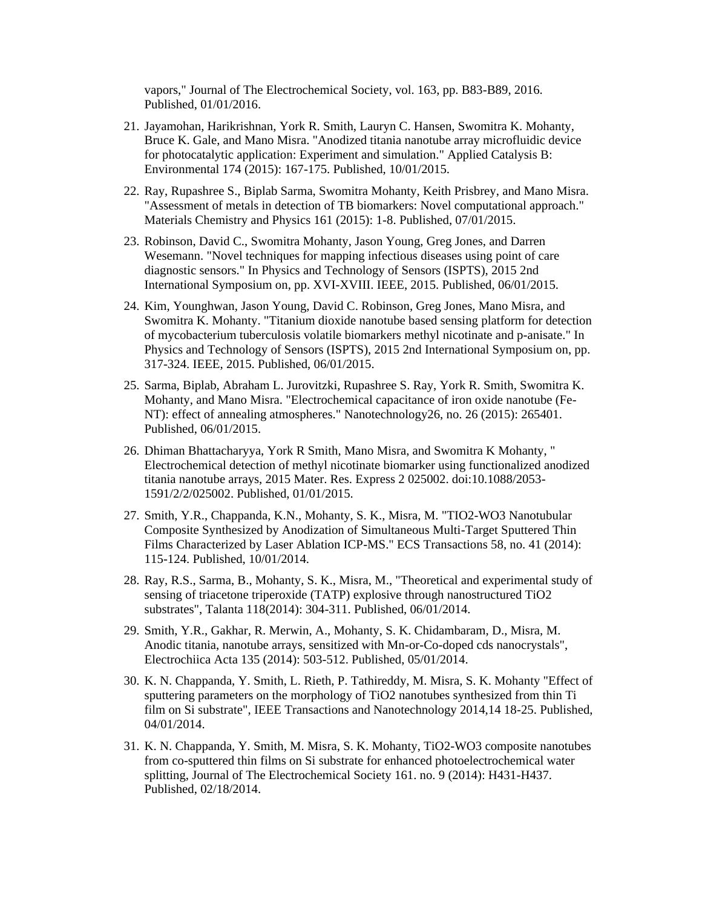vapors," Journal of The Electrochemical Society, vol. 163, pp. B83-B89, 2016. Published, 01/01/2016.

- 21. Jayamohan, Harikrishnan, York R. Smith, Lauryn C. Hansen, Swomitra K. Mohanty, Bruce K. Gale, and Mano Misra. "Anodized titania nanotube array microfluidic device for photocatalytic application: Experiment and simulation." Applied Catalysis B: Environmental 174 (2015): 167-175. Published, 10/01/2015.
- 22. Ray, Rupashree S., Biplab Sarma, Swomitra Mohanty, Keith Prisbrey, and Mano Misra. "Assessment of metals in detection of TB biomarkers: Novel computational approach." Materials Chemistry and Physics 161 (2015): 1-8. Published, 07/01/2015.
- 23. Robinson, David C., Swomitra Mohanty, Jason Young, Greg Jones, and Darren Wesemann. "Novel techniques for mapping infectious diseases using point of care diagnostic sensors." In Physics and Technology of Sensors (ISPTS), 2015 2nd International Symposium on, pp. XVI-XVIII. IEEE, 2015. Published, 06/01/2015.
- 24. Kim, Younghwan, Jason Young, David C. Robinson, Greg Jones, Mano Misra, and Swomitra K. Mohanty. "Titanium dioxide nanotube based sensing platform for detection of mycobacterium tuberculosis volatile biomarkers methyl nicotinate and p-anisate." In Physics and Technology of Sensors (ISPTS), 2015 2nd International Symposium on, pp. 317-324. IEEE, 2015. Published, 06/01/2015.
- 25. Sarma, Biplab, Abraham L. Jurovitzki, Rupashree S. Ray, York R. Smith, Swomitra K. Mohanty, and Mano Misra. "Electrochemical capacitance of iron oxide nanotube (Fe-NT): effect of annealing atmospheres." Nanotechnology26, no. 26 (2015): 265401. Published, 06/01/2015.
- 26. Dhiman Bhattacharyya, York R Smith, Mano Misra, and Swomitra K Mohanty, " Electrochemical detection of methyl nicotinate biomarker using functionalized anodized titania nanotube arrays, 2015 Mater. Res. Express 2 025002. doi:10.1088/2053- 1591/2/2/025002. Published, 01/01/2015.
- 27. Smith, Y.R., Chappanda, K.N., Mohanty, S. K., Misra, M. "TIO2-WO3 Nanotubular Composite Synthesized by Anodization of Simultaneous Multi-Target Sputtered Thin Films Characterized by Laser Ablation ICP-MS." ECS Transactions 58, no. 41 (2014): 115-124. Published, 10/01/2014.
- 28. Ray, R.S., Sarma, B., Mohanty, S. K., Misra, M., "Theoretical and experimental study of sensing of triacetone triperoxide (TATP) explosive through nanostructured TiO2 substrates", Talanta 118(2014): 304-311. Published, 06/01/2014.
- 29. Smith, Y.R., Gakhar, R. Merwin, A., Mohanty, S. K. Chidambaram, D., Misra, M. Anodic titania, nanotube arrays, sensitized with Mn-or-Co-doped cds nanocrystals", Electrochiica Acta 135 (2014): 503-512. Published, 05/01/2014.
- 30. K. N. Chappanda, Y. Smith, L. Rieth, P. Tathireddy, M. Misra, S. K. Mohanty "Effect of sputtering parameters on the morphology of TiO2 nanotubes synthesized from thin Ti film on Si substrate", IEEE Transactions and Nanotechnology 2014,14 18-25. Published, 04/01/2014.
- 31. K. N. Chappanda, Y. Smith, M. Misra, S. K. Mohanty, TiO2-WO3 composite nanotubes from co-sputtered thin films on Si substrate for enhanced photoelectrochemical water splitting, Journal of The Electrochemical Society 161. no. 9 (2014): H431-H437. Published, 02/18/2014.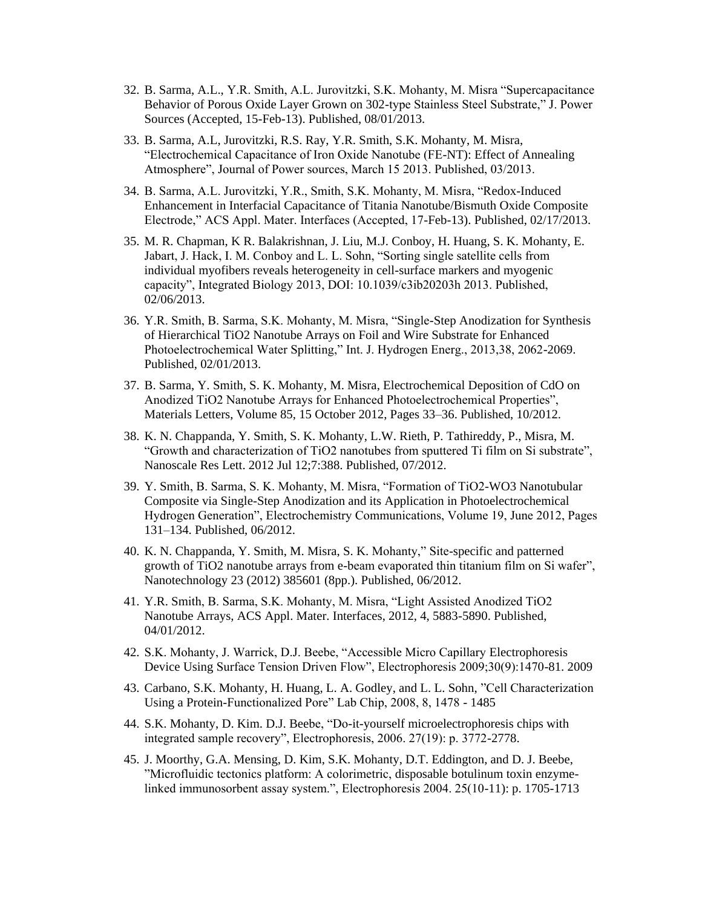- 32. B. Sarma, A.L., Y.R. Smith, A.L. Jurovitzki, S.K. Mohanty, M. Misra "Supercapacitance Behavior of Porous Oxide Layer Grown on 302-type Stainless Steel Substrate," J. Power Sources (Accepted, 15-Feb-13). Published, 08/01/2013.
- 33. B. Sarma, A.L, Jurovitzki, R.S. Ray, Y.R. Smith, S.K. Mohanty, M. Misra, "Electrochemical Capacitance of Iron Oxide Nanotube (FE-NT): Effect of Annealing Atmosphere", Journal of Power sources, March 15 2013. Published, 03/2013.
- 34. B. Sarma, A.L. Jurovitzki, Y.R., Smith, S.K. Mohanty, M. Misra, "Redox-Induced Enhancement in Interfacial Capacitance of Titania Nanotube/Bismuth Oxide Composite Electrode," ACS Appl. Mater. Interfaces (Accepted, 17-Feb-13). Published, 02/17/2013.
- 35. M. R. Chapman, K R. Balakrishnan, J. Liu, M.J. Conboy, H. Huang, S. K. Mohanty, E. Jabart, J. Hack, I. M. Conboy and L. L. Sohn, "Sorting single satellite cells from individual myofibers reveals heterogeneity in cell-surface markers and myogenic capacity", Integrated Biology 2013, DOI: 10.1039/c3ib20203h 2013. Published, 02/06/2013.
- 36. Y.R. Smith, B. Sarma, S.K. Mohanty, M. Misra, "Single-Step Anodization for Synthesis of Hierarchical TiO2 Nanotube Arrays on Foil and Wire Substrate for Enhanced Photoelectrochemical Water Splitting," Int. J. Hydrogen Energ., 2013,38, 2062-2069. Published, 02/01/2013.
- 37. B. Sarma, Y. Smith, S. K. Mohanty, M. Misra, Electrochemical Deposition of CdO on Anodized TiO2 Nanotube Arrays for Enhanced Photoelectrochemical Properties", Materials Letters, Volume 85, 15 October 2012, Pages 33–36. Published, 10/2012.
- 38. K. N. Chappanda, Y. Smith, S. K. Mohanty, L.W. Rieth, P. Tathireddy, P., Misra, M. "Growth and characterization of TiO2 nanotubes from sputtered Ti film on Si substrate", Nanoscale Res Lett. 2012 Jul 12;7:388. Published, 07/2012.
- 39. Y. Smith, B. Sarma, S. K. Mohanty, M. Misra, "Formation of TiO2-WO3 Nanotubular Composite via Single-Step Anodization and its Application in Photoelectrochemical Hydrogen Generation", Electrochemistry Communications, Volume 19, June 2012, Pages 131–134. Published, 06/2012.
- 40. K. N. Chappanda, Y. Smith, M. Misra, S. K. Mohanty," Site-specific and patterned growth of TiO2 nanotube arrays from e-beam evaporated thin titanium film on Si wafer", Nanotechnology 23 (2012) 385601 (8pp.). Published, 06/2012.
- 41. Y.R. Smith, B. Sarma, S.K. Mohanty, M. Misra, "Light Assisted Anodized TiO2 Nanotube Arrays, ACS Appl. Mater. Interfaces, 2012, 4, 5883-5890. Published, 04/01/2012.
- 42. S.K. Mohanty, J. Warrick, D.J. Beebe, "Accessible Micro Capillary Electrophoresis Device Using Surface Tension Driven Flow", Electrophoresis 2009;30(9):1470-81. 2009
- 43. Carbano, S.K. Mohanty, H. Huang, L. A. Godley, and L. L. Sohn, "Cell Characterization Using a Protein-Functionalized Pore" Lab Chip, 2008, 8, 1478 - 1485
- 44. S.K. Mohanty, D. Kim. D.J. Beebe, "Do-it-yourself microelectrophoresis chips with integrated sample recovery", Electrophoresis, 2006. 27(19): p. 3772-2778.
- 45. J. Moorthy, G.A. Mensing, D. Kim, S.K. Mohanty, D.T. Eddington, and D. J. Beebe, "Microfluidic tectonics platform: A colorimetric, disposable botulinum toxin enzymelinked immunosorbent assay system.", Electrophoresis 2004. 25(10-11): p. 1705-1713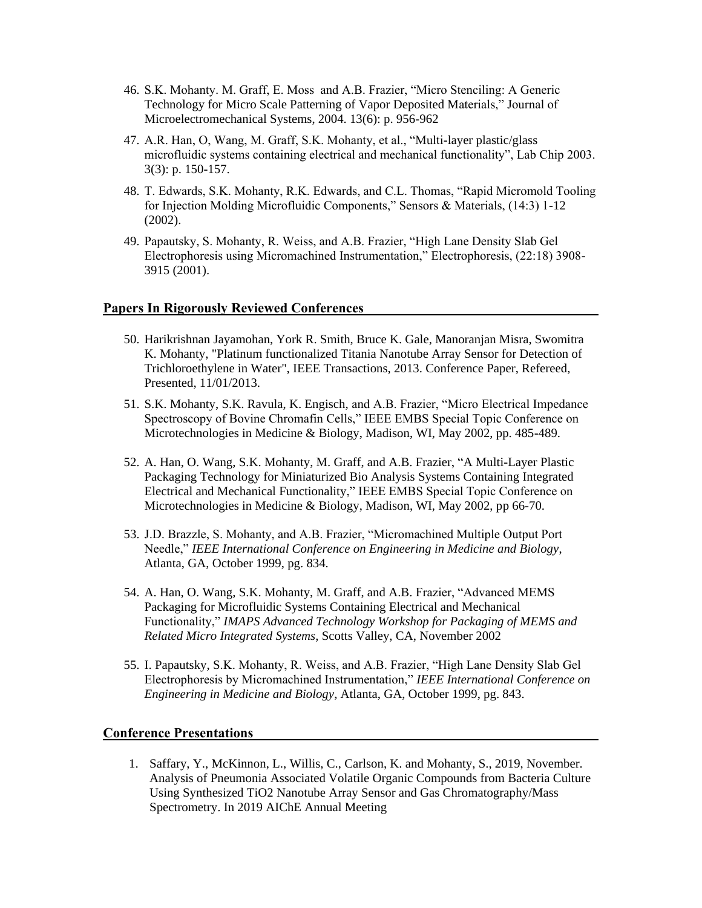- 46. S.K. Mohanty. M. Graff, E. Moss and A.B. Frazier, "Micro Stenciling: A Generic Technology for Micro Scale Patterning of Vapor Deposited Materials," Journal of Microelectromechanical Systems, 2004. 13(6): p. 956-962
- 47. A.R. Han, O, Wang, M. Graff, S.K. Mohanty, et al., "Multi-layer plastic/glass microfluidic systems containing electrical and mechanical functionality", Lab Chip 2003. 3(3): p. 150-157.
- 48. T. Edwards, S.K. Mohanty, R.K. Edwards, and C.L. Thomas, "Rapid Micromold Tooling for Injection Molding Microfluidic Components," Sensors & Materials, (14:3) 1-12 (2002).
- 49. Papautsky, S. Mohanty, R. Weiss, and A.B. Frazier, "High Lane Density Slab Gel Electrophoresis using Micromachined Instrumentation," Electrophoresis, (22:18) 3908- 3915 (2001).

#### **Papers In Rigorously Reviewed Conferences**

- 50. Harikrishnan Jayamohan, York R. Smith, Bruce K. Gale, Manoranjan Misra, Swomitra K. Mohanty, "Platinum functionalized Titania Nanotube Array Sensor for Detection of Trichloroethylene in Water", IEEE Transactions, 2013. Conference Paper, Refereed, Presented, 11/01/2013.
- 51. S.K. Mohanty, S.K. Ravula, K. Engisch, and A.B. Frazier, "Micro Electrical Impedance Spectroscopy of Bovine Chromafin Cells," IEEE EMBS Special Topic Conference on Microtechnologies in Medicine & Biology, Madison, WI, May 2002, pp. 485-489.
- 52. A. Han, O. Wang, S.K. Mohanty, M. Graff, and A.B. Frazier, "A Multi-Layer Plastic Packaging Technology for Miniaturized Bio Analysis Systems Containing Integrated Electrical and Mechanical Functionality," IEEE EMBS Special Topic Conference on Microtechnologies in Medicine & Biology, Madison, WI, May 2002, pp 66-70.
- 53. J.D. Brazzle, S. Mohanty, and A.B. Frazier, "Micromachined Multiple Output Port Needle," *IEEE International Conference on Engineering in Medicine and Biology*, Atlanta, GA, October 1999, pg. 834.
- 54. A. Han, O. Wang, S.K. Mohanty, M. Graff, and A.B. Frazier, "Advanced MEMS Packaging for Microfluidic Systems Containing Electrical and Mechanical Functionality," *IMAPS Advanced Technology Workshop for Packaging of MEMS and Related Micro Integrated Systems*, Scotts Valley, CA, November 2002
- 55. I. Papautsky, S.K. Mohanty, R. Weiss, and A.B. Frazier, "High Lane Density Slab Gel Electrophoresis by Micromachined Instrumentation," *IEEE International Conference on Engineering in Medicine and Biology*, Atlanta, GA, October 1999, pg. 843.

## **Conference Presentations**

1. Saffary, Y., McKinnon, L., Willis, C., Carlson, K. and Mohanty, S., 2019, November. Analysis of Pneumonia Associated Volatile Organic Compounds from Bacteria Culture Using Synthesized TiO2 Nanotube Array Sensor and Gas Chromatography/Mass Spectrometry. In 2019 AIChE Annual Meeting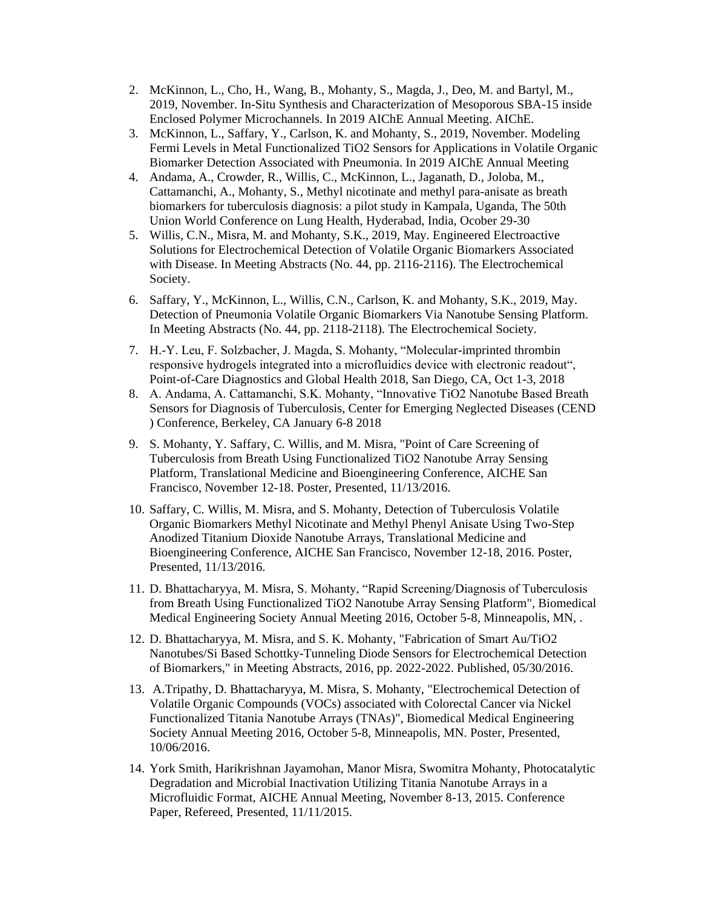- 2. McKinnon, L., Cho, H., Wang, B., Mohanty, S., Magda, J., Deo, M. and Bartyl, M., 2019, November. In-Situ Synthesis and Characterization of Mesoporous SBA-15 inside Enclosed Polymer Microchannels. In 2019 AIChE Annual Meeting. AIChE.
- 3. McKinnon, L., Saffary, Y., Carlson, K. and Mohanty, S., 2019, November. Modeling Fermi Levels in Metal Functionalized TiO2 Sensors for Applications in Volatile Organic Biomarker Detection Associated with Pneumonia. In 2019 AIChE Annual Meeting
- 4. Andama, A., Crowder, R., Willis, C., McKinnon, L., Jaganath, D., Joloba, M., Cattamanchi, A., Mohanty, S., Methyl nicotinate and methyl para-anisate as breath biomarkers for tuberculosis diagnosis: a pilot study in Kampala, Uganda, The 50th Union World Conference on Lung Health, Hyderabad, India, Ocober 29-30
- 5. Willis, C.N., Misra, M. and Mohanty, S.K., 2019, May. Engineered Electroactive Solutions for Electrochemical Detection of Volatile Organic Biomarkers Associated with Disease. In Meeting Abstracts (No. 44, pp. 2116-2116). The Electrochemical Society.
- 6. Saffary, Y., McKinnon, L., Willis, C.N., Carlson, K. and Mohanty, S.K., 2019, May. Detection of Pneumonia Volatile Organic Biomarkers Via Nanotube Sensing Platform. In Meeting Abstracts (No. 44, pp. 2118-2118). The Electrochemical Society.
- 7. H.-Y. Leu, F. Solzbacher, J. Magda, S. Mohanty, "Molecular-imprinted thrombin responsive hydrogels integrated into a microfluidics device with electronic readout", Point-of-Care Diagnostics and Global Health 2018, San Diego, CA, Oct 1-3, 2018
- 8. A. Andama, A. Cattamanchi, S.K. Mohanty, "Innovative TiO2 Nanotube Based Breath Sensors for Diagnosis of Tuberculosis, Center for Emerging Neglected Diseases (CEND ) Conference, Berkeley, CA January 6-8 2018
- 9. S. Mohanty, Y. Saffary, C. Willis, and M. Misra, "Point of Care Screening of Tuberculosis from Breath Using Functionalized TiO2 Nanotube Array Sensing Platform, Translational Medicine and Bioengineering Conference, AICHE San Francisco, November 12-18. Poster, Presented, 11/13/2016.
- 10. Saffary, C. Willis, M. Misra, and S. Mohanty, Detection of Tuberculosis Volatile Organic Biomarkers Methyl Nicotinate and Methyl Phenyl Anisate Using Two-Step Anodized Titanium Dioxide Nanotube Arrays, Translational Medicine and Bioengineering Conference, AICHE San Francisco, November 12-18, 2016. Poster, Presented, 11/13/2016.
- 11. D. Bhattacharyya, M. Misra, S. Mohanty, "Rapid Screening/Diagnosis of Tuberculosis from Breath Using Functionalized TiO2 Nanotube Array Sensing Platform", Biomedical Medical Engineering Society Annual Meeting 2016, October 5-8, Minneapolis, MN, .
- 12. D. Bhattacharyya, M. Misra, and S. K. Mohanty, "Fabrication of Smart Au/TiO2 Nanotubes/Si Based Schottky-Tunneling Diode Sensors for Electrochemical Detection of Biomarkers," in Meeting Abstracts, 2016, pp. 2022-2022. Published, 05/30/2016.
- 13. A.Tripathy, D. Bhattacharyya, M. Misra, S. Mohanty, "Electrochemical Detection of Volatile Organic Compounds (VOCs) associated with Colorectal Cancer via Nickel Functionalized Titania Nanotube Arrays (TNAs)", Biomedical Medical Engineering Society Annual Meeting 2016, October 5-8, Minneapolis, MN. Poster, Presented, 10/06/2016.
- 14. York Smith, Harikrishnan Jayamohan, Manor Misra, Swomitra Mohanty, Photocatalytic Degradation and Microbial Inactivation Utilizing Titania Nanotube Arrays in a Microfluidic Format, AICHE Annual Meeting, November 8-13, 2015. Conference Paper, Refereed, Presented, 11/11/2015.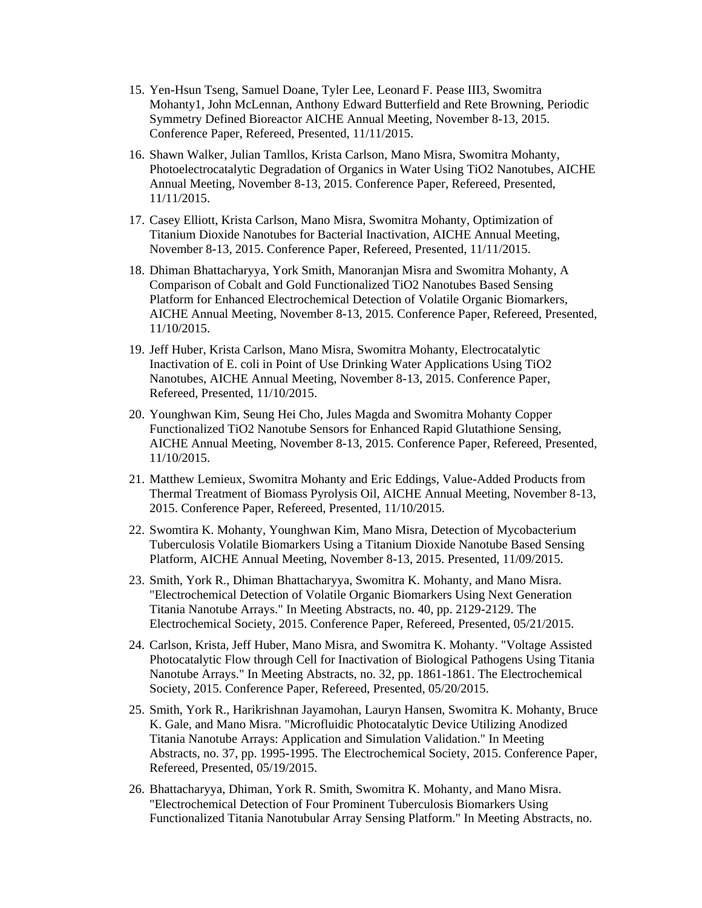- 15. Yen-Hsun Tseng, Samuel Doane, Tyler Lee, Leonard F. Pease III3, Swomitra Mohanty1, John McLennan, Anthony Edward Butterfield and Rete Browning, Periodic Symmetry Defined Bioreactor AICHE Annual Meeting, November 8-13, 2015. Conference Paper, Refereed, Presented, 11/11/2015.
- 16. Shawn Walker, Julian Tamllos, Krista Carlson, Mano Misra, Swomitra Mohanty, Photoelectrocatalytic Degradation of Organics in Water Using TiO2 Nanotubes, AICHE Annual Meeting, November 8-13, 2015. Conference Paper, Refereed, Presented, 11/11/2015.
- 17. Casey Elliott, Krista Carlson, Mano Misra, Swomitra Mohanty, Optimization of Titanium Dioxide Nanotubes for Bacterial Inactivation, AICHE Annual Meeting, November 8-13, 2015. Conference Paper, Refereed, Presented, 11/11/2015.
- 18. Dhiman Bhattacharyya, York Smith, Manoranjan Misra and Swomitra Mohanty, A Comparison of Cobalt and Gold Functionalized TiO2 Nanotubes Based Sensing Platform for Enhanced Electrochemical Detection of Volatile Organic Biomarkers, AICHE Annual Meeting, November 8-13, 2015. Conference Paper, Refereed, Presented, 11/10/2015.
- 19. Jeff Huber, Krista Carlson, Mano Misra, Swomitra Mohanty, Electrocatalytic Inactivation of E. coli in Point of Use Drinking Water Applications Using TiO2 Nanotubes, AICHE Annual Meeting, November 8-13, 2015. Conference Paper, Refereed, Presented, 11/10/2015.
- 20. Younghwan Kim, Seung Hei Cho, Jules Magda and Swomitra Mohanty Copper Functionalized TiO2 Nanotube Sensors for Enhanced Rapid Glutathione Sensing, AICHE Annual Meeting, November 8-13, 2015. Conference Paper, Refereed, Presented, 11/10/2015.
- 21. Matthew Lemieux, Swomitra Mohanty and Eric Eddings, Value-Added Products from Thermal Treatment of Biomass Pyrolysis Oil, AICHE Annual Meeting, November 8-13, 2015. Conference Paper, Refereed, Presented, 11/10/2015.
- 22. Swomtira K. Mohanty, Younghwan Kim, Mano Misra, Detection of Mycobacterium Tuberculosis Volatile Biomarkers Using a Titanium Dioxide Nanotube Based Sensing Platform, AICHE Annual Meeting, November 8-13, 2015. Presented, 11/09/2015.
- 23. Smith, York R., Dhiman Bhattacharyya, Swomitra K. Mohanty, and Mano Misra. "Electrochemical Detection of Volatile Organic Biomarkers Using Next Generation Titania Nanotube Arrays." In Meeting Abstracts, no. 40, pp. 2129-2129. The Electrochemical Society, 2015. Conference Paper, Refereed, Presented, 05/21/2015.
- 24. Carlson, Krista, Jeff Huber, Mano Misra, and Swomitra K. Mohanty. "Voltage Assisted Photocatalytic Flow through Cell for Inactivation of Biological Pathogens Using Titania Nanotube Arrays." In Meeting Abstracts, no. 32, pp. 1861-1861. The Electrochemical Society, 2015. Conference Paper, Refereed, Presented, 05/20/2015.
- 25. Smith, York R., Harikrishnan Jayamohan, Lauryn Hansen, Swomitra K. Mohanty, Bruce K. Gale, and Mano Misra. "Microfluidic Photocatalytic Device Utilizing Anodized Titania Nanotube Arrays: Application and Simulation Validation." In Meeting Abstracts, no. 37, pp. 1995-1995. The Electrochemical Society, 2015. Conference Paper, Refereed, Presented, 05/19/2015.
- 26. Bhattacharyya, Dhiman, York R. Smith, Swomitra K. Mohanty, and Mano Misra. "Electrochemical Detection of Four Prominent Tuberculosis Biomarkers Using Functionalized Titania Nanotubular Array Sensing Platform." In Meeting Abstracts, no.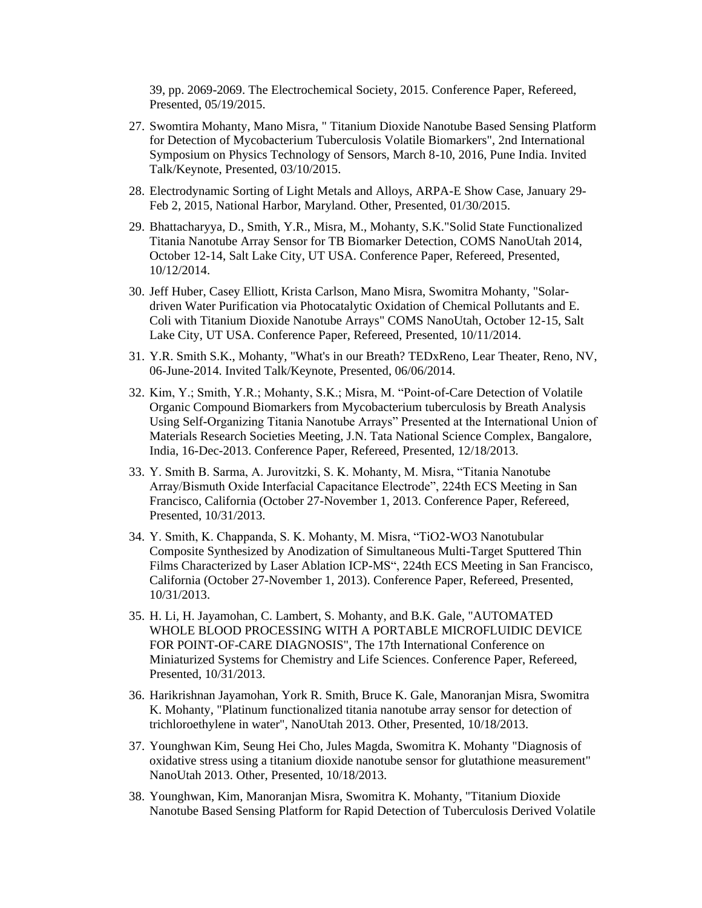39, pp. 2069-2069. The Electrochemical Society, 2015. Conference Paper, Refereed, Presented, 05/19/2015.

- 27. Swomtira Mohanty, Mano Misra, " Titanium Dioxide Nanotube Based Sensing Platform for Detection of Mycobacterium Tuberculosis Volatile Biomarkers", 2nd International Symposium on Physics Technology of Sensors, March 8-10, 2016, Pune India. Invited Talk/Keynote, Presented, 03/10/2015.
- 28. Electrodynamic Sorting of Light Metals and Alloys, ARPA-E Show Case, January 29- Feb 2, 2015, National Harbor, Maryland. Other, Presented, 01/30/2015.
- 29. Bhattacharyya, D., Smith, Y.R., Misra, M., Mohanty, S.K."Solid State Functionalized Titania Nanotube Array Sensor for TB Biomarker Detection, COMS NanoUtah 2014, October 12-14, Salt Lake City, UT USA. Conference Paper, Refereed, Presented, 10/12/2014.
- 30. Jeff Huber, Casey Elliott, Krista Carlson, Mano Misra, Swomitra Mohanty, "Solardriven Water Purification via Photocatalytic Oxidation of Chemical Pollutants and E. Coli with Titanium Dioxide Nanotube Arrays" COMS NanoUtah, October 12-15, Salt Lake City, UT USA. Conference Paper, Refereed, Presented, 10/11/2014.
- 31. Y.R. Smith S.K., Mohanty, "What's in our Breath? TEDxReno, Lear Theater, Reno, NV, 06-June-2014. Invited Talk/Keynote, Presented, 06/06/2014.
- 32. Kim, Y.; Smith, Y.R.; Mohanty, S.K.; Misra, M. "Point-of-Care Detection of Volatile Organic Compound Biomarkers from Mycobacterium tuberculosis by Breath Analysis Using Self-Organizing Titania Nanotube Arrays" Presented at the International Union of Materials Research Societies Meeting, J.N. Tata National Science Complex, Bangalore, India, 16-Dec-2013. Conference Paper, Refereed, Presented, 12/18/2013.
- 33. Y. Smith B. Sarma, A. Jurovitzki, S. K. Mohanty, M. Misra, "Titania Nanotube Array/Bismuth Oxide Interfacial Capacitance Electrode", 224th ECS Meeting in San Francisco, California (October 27-November 1, 2013. Conference Paper, Refereed, Presented, 10/31/2013.
- 34. Y. Smith, K. Chappanda, S. K. Mohanty, M. Misra, "TiO2-WO3 Nanotubular Composite Synthesized by Anodization of Simultaneous Multi-Target Sputtered Thin Films Characterized by Laser Ablation ICP-MS", 224th ECS Meeting in San Francisco, California (October 27-November 1, 2013). Conference Paper, Refereed, Presented, 10/31/2013.
- 35. H. Li, H. Jayamohan, C. Lambert, S. Mohanty, and B.K. Gale, "AUTOMATED WHOLE BLOOD PROCESSING WITH A PORTABLE MICROFLUIDIC DEVICE FOR POINT-OF-CARE DIAGNOSIS", The 17th International Conference on Miniaturized Systems for Chemistry and Life Sciences. Conference Paper, Refereed, Presented, 10/31/2013.
- 36. Harikrishnan Jayamohan, York R. Smith, Bruce K. Gale, Manoranjan Misra, Swomitra K. Mohanty, "Platinum functionalized titania nanotube array sensor for detection of trichloroethylene in water", NanoUtah 2013. Other, Presented, 10/18/2013.
- 37. Younghwan Kim, Seung Hei Cho, Jules Magda, Swomitra K. Mohanty "Diagnosis of oxidative stress using a titanium dioxide nanotube sensor for glutathione measurement" NanoUtah 2013. Other, Presented, 10/18/2013.
- 38. Younghwan, Kim, Manoranjan Misra, Swomitra K. Mohanty, "Titanium Dioxide Nanotube Based Sensing Platform for Rapid Detection of Tuberculosis Derived Volatile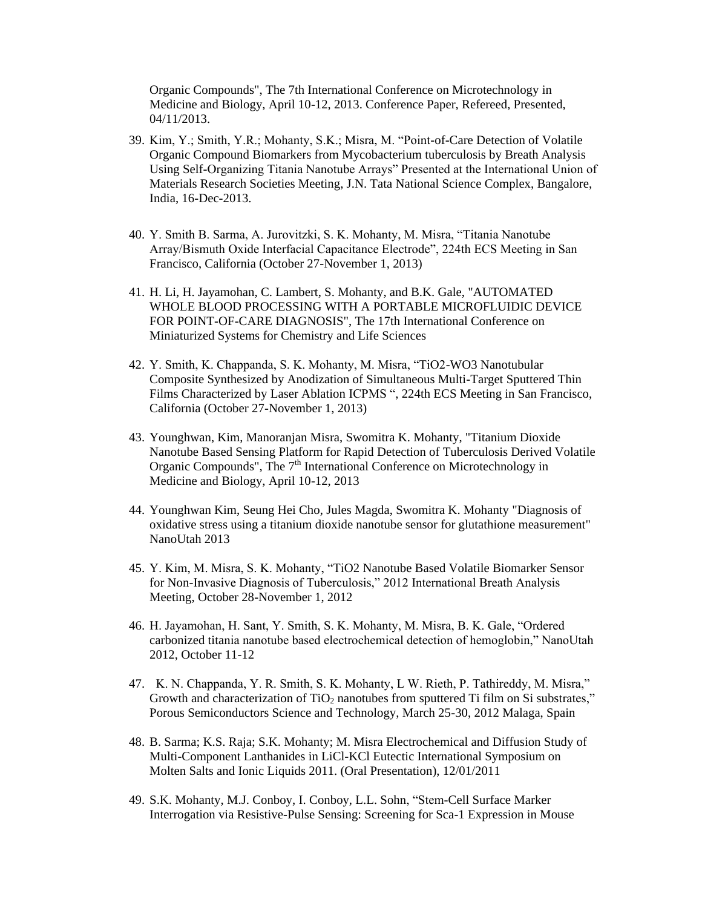Organic Compounds", The 7th International Conference on Microtechnology in Medicine and Biology, April 10-12, 2013. Conference Paper, Refereed, Presented, 04/11/2013.

- 39. Kim, Y.; Smith, Y.R.; Mohanty, S.K.; Misra, M. "Point-of-Care Detection of Volatile Organic Compound Biomarkers from Mycobacterium tuberculosis by Breath Analysis Using Self-Organizing Titania Nanotube Arrays" Presented at the International Union of Materials Research Societies Meeting, J.N. Tata National Science Complex, Bangalore, India, 16-Dec-2013.
- 40. Y. Smith B. Sarma, A. Jurovitzki, S. K. Mohanty, M. Misra, "Titania Nanotube Array/Bismuth Oxide Interfacial Capacitance Electrode", 224th ECS Meeting in San Francisco, California (October 27-November 1, 2013)
- 41. H. Li, H. Jayamohan, C. Lambert, S. Mohanty, and B.K. Gale, "AUTOMATED WHOLE BLOOD PROCESSING WITH A PORTABLE MICROFLUIDIC DEVICE FOR POINT-OF-CARE DIAGNOSIS", The 17th International Conference on Miniaturized Systems for Chemistry and Life Sciences
- 42. Y. Smith, K. Chappanda, S. K. Mohanty, M. Misra, "TiO2-WO3 Nanotubular Composite Synthesized by Anodization of Simultaneous Multi-Target Sputtered Thin Films Characterized by Laser Ablation ICPMS ", 224th ECS Meeting in San Francisco, California (October 27-November 1, 2013)
- 43. Younghwan, Kim, Manoranjan Misra, Swomitra K. Mohanty, "Titanium Dioxide Nanotube Based Sensing Platform for Rapid Detection of Tuberculosis Derived Volatile Organic Compounds", The  $7<sup>th</sup>$  International Conference on Microtechnology in Medicine and Biology, April 10-12, 2013
- 44. Younghwan Kim, Seung Hei Cho, Jules Magda, Swomitra K. Mohanty "Diagnosis of oxidative stress using a titanium dioxide nanotube sensor for glutathione measurement" NanoUtah 2013
- 45. Y. Kim, M. Misra, S. K. Mohanty, "TiO2 Nanotube Based Volatile Biomarker Sensor for Non-Invasive Diagnosis of Tuberculosis," 2012 International Breath Analysis Meeting, October 28-November 1, 2012
- 46. H. Jayamohan, H. Sant, Y. Smith, S. K. Mohanty, M. Misra, B. K. Gale, "Ordered carbonized titania nanotube based electrochemical detection of hemoglobin," NanoUtah 2012, October 11-12
- 47. K. N. Chappanda, Y. R. Smith, S. K. Mohanty, L W. Rieth, P. Tathireddy, M. Misra," Growth and characterization of  $TiO<sub>2</sub>$  nanotubes from sputtered Ti film on Si substrates," Porous Semiconductors Science and Technology, March 25-30, 2012 Malaga, Spain
- 48. B. Sarma; K.S. Raja; S.K. Mohanty; M. Misra Electrochemical and Diffusion Study of Multi-Component Lanthanides in LiCl-KCl Eutectic International Symposium on Molten Salts and Ionic Liquids 2011. (Oral Presentation), 12/01/2011
- 49. S.K. Mohanty, M.J. Conboy, I. Conboy, L.L. Sohn, "Stem-Cell Surface Marker Interrogation via Resistive-Pulse Sensing: Screening for Sca-1 Expression in Mouse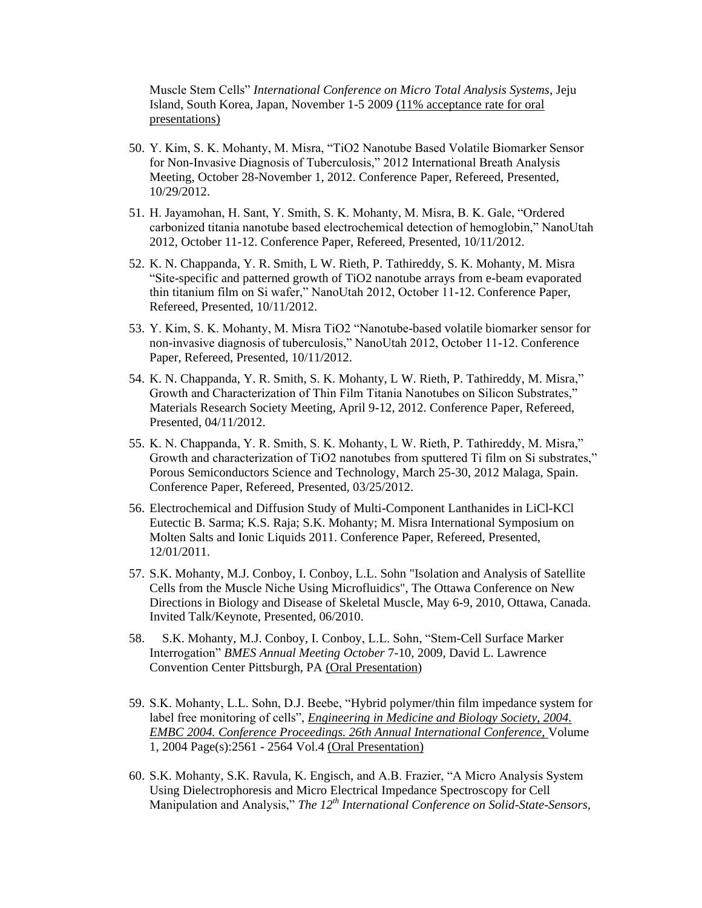Muscle Stem Cells" *International Conference on Micro Total Analysis Systems*, Jeju Island, South Korea, Japan, November 1-5 2009 (11% acceptance rate for oral presentations)

- 50. Y. Kim, S. K. Mohanty, M. Misra, "TiO2 Nanotube Based Volatile Biomarker Sensor for Non-Invasive Diagnosis of Tuberculosis," 2012 International Breath Analysis Meeting, October 28-November 1, 2012. Conference Paper, Refereed, Presented, 10/29/2012.
- 51. H. Jayamohan, H. Sant, Y. Smith, S. K. Mohanty, M. Misra, B. K. Gale, "Ordered carbonized titania nanotube based electrochemical detection of hemoglobin," NanoUtah 2012, October 11-12. Conference Paper, Refereed, Presented, 10/11/2012.
- 52. K. N. Chappanda, Y. R. Smith, L W. Rieth, P. Tathireddy, S. K. Mohanty, M. Misra "Site-specific and patterned growth of TiO2 nanotube arrays from e-beam evaporated thin titanium film on Si wafer," NanoUtah 2012, October 11-12. Conference Paper, Refereed, Presented, 10/11/2012.
- 53. Y. Kim, S. K. Mohanty, M. Misra TiO2 "Nanotube-based volatile biomarker sensor for non-invasive diagnosis of tuberculosis," NanoUtah 2012, October 11-12. Conference Paper, Refereed, Presented, 10/11/2012.
- 54. K. N. Chappanda, Y. R. Smith, S. K. Mohanty, L W. Rieth, P. Tathireddy, M. Misra," Growth and Characterization of Thin Film Titania Nanotubes on Silicon Substrates," Materials Research Society Meeting, April 9-12, 2012. Conference Paper, Refereed, Presented, 04/11/2012.
- 55. K. N. Chappanda, Y. R. Smith, S. K. Mohanty, L W. Rieth, P. Tathireddy, M. Misra," Growth and characterization of TiO2 nanotubes from sputtered Ti film on Si substrates," Porous Semiconductors Science and Technology, March 25-30, 2012 Malaga, Spain. Conference Paper, Refereed, Presented, 03/25/2012.
- 56. Electrochemical and Diffusion Study of Multi-Component Lanthanides in LiCl-KCl Eutectic B. Sarma; K.S. Raja; S.K. Mohanty; M. Misra International Symposium on Molten Salts and Ionic Liquids 2011. Conference Paper, Refereed, Presented, 12/01/2011.
- 57. S.K. Mohanty, M.J. Conboy, I. Conboy, L.L. Sohn "Isolation and Analysis of Satellite Cells from the Muscle Niche Using Microfluidics", The Ottawa Conference on New Directions in Biology and Disease of Skeletal Muscle, May 6-9, 2010, Ottawa, Canada. Invited Talk/Keynote, Presented, 06/2010.
- 58. S.K. Mohanty, M.J. Conboy, I. Conboy, L.L. Sohn, "Stem-Cell Surface Marker Interrogation" *BMES Annual Meeting October* 7-10, 2009, David L. Lawrence Convention Center Pittsburgh, PA (Oral Presentation)
- 59. S.K. Mohanty, L.L. Sohn, D.J. Beebe, "Hybrid polymer/thin film impedance system for label free monitoring of cells", *[Engineering in Medicine and Biology Society, 2004.](http://ieeexplore.ieee.org.ezproxy.library.wisc.edu/xpl/RecentCon.jsp?punumber=9639)  [EMBC 2004. Conference Proceedings. 26th Annual International Conference,](http://ieeexplore.ieee.org.ezproxy.library.wisc.edu/xpl/RecentCon.jsp?punumber=9639)* Volume 1, 2004 Page(s):2561 - 2564 Vol.4 (Oral Presentation)
- 60. S.K. Mohanty, S.K. Ravula, K. Engisch, and A.B. Frazier, "A Micro Analysis System Using Dielectrophoresis and Micro Electrical Impedance Spectroscopy for Cell Manipulation and Analysis," *The 12th International Conference on Solid-State-Sensors,*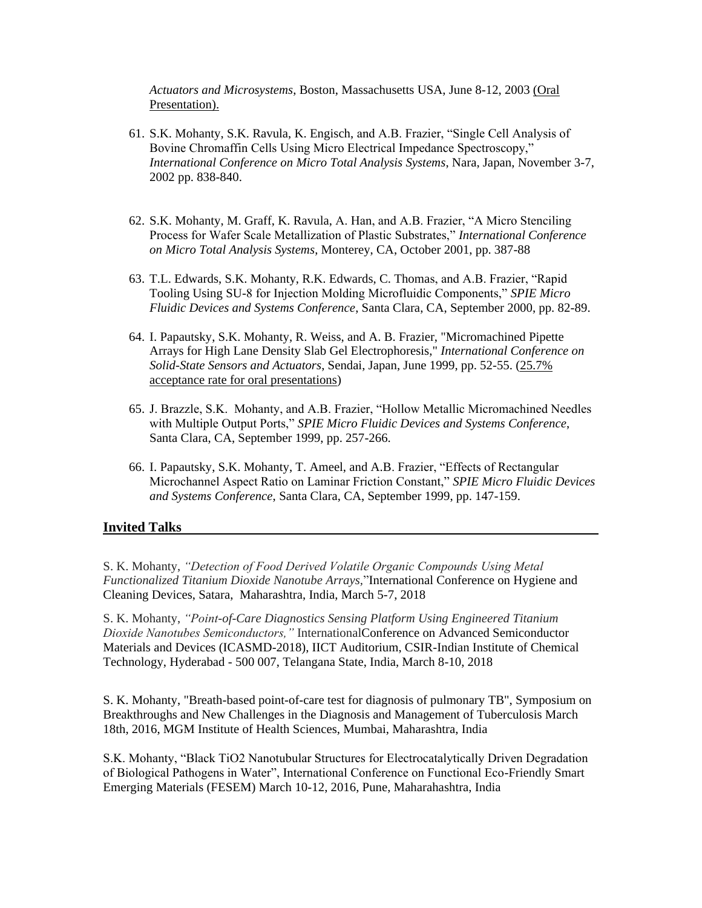*Actuators and Microsystems*, Boston, Massachusetts USA, June 8-12, 2003 (Oral Presentation).

- 61. S.K. Mohanty, S.K. Ravula, K. Engisch, and A.B. Frazier, "Single Cell Analysis of Bovine Chromaffin Cells Using Micro Electrical Impedance Spectroscopy," *International Conference on Micro Total Analysis Systems*, Nara, Japan, November 3-7, 2002 pp. 838-840.
- 62. S.K. Mohanty, M. Graff, K. Ravula, A. Han, and A.B. Frazier, "A Micro Stenciling Process for Wafer Scale Metallization of Plastic Substrates," *International Conference on Micro Total Analysis Systems*, Monterey, CA, October 2001, pp. 387-88
- 63. T.L. Edwards, S.K. Mohanty, R.K. Edwards, C. Thomas, and A.B. Frazier, "Rapid Tooling Using SU-8 for Injection Molding Microfluidic Components," *SPIE Micro Fluidic Devices and Systems Conference*, Santa Clara, CA, September 2000, pp. 82-89.
- 64. I. Papautsky, S.K. Mohanty, R. Weiss, and A. B. Frazier, "Micromachined Pipette Arrays for High Lane Density Slab Gel Electrophoresis," *International Conference on Solid-State Sensors and Actuators*, Sendai, Japan, June 1999, pp. 52-55. (25.7% acceptance rate for oral presentations)
- 65. J. Brazzle, S.K. Mohanty, and A.B. Frazier, "Hollow Metallic Micromachined Needles with Multiple Output Ports," *SPIE Micro Fluidic Devices and Systems Conference*, Santa Clara, CA, September 1999, pp. 257-266.
- 66. I. Papautsky, S.K. Mohanty, T. Ameel, and A.B. Frazier, "Effects of Rectangular Microchannel Aspect Ratio on Laminar Friction Constant," *SPIE Micro Fluidic Devices and Systems Conference*, Santa Clara, CA, September 1999, pp. 147-159.

## **Invited Talks**

S. K. Mohanty, *"Detection of Food Derived Volatile Organic Compounds Using Metal Functionalized Titanium Dioxide Nanotube Arrays,*"International Conference on Hygiene and Cleaning Devices, Satara, Maharashtra, India, March 5-7, 2018

S. K. Mohanty, *"Point-of-Care Diagnostics Sensing Platform Using Engineered Titanium Dioxide Nanotubes Semiconductors,"* InternationalConference on Advanced Semiconductor Materials and Devices (ICASMD-2018), IICT Auditorium, CSIR-Indian Institute of Chemical Technology, Hyderabad - 500 007, Telangana State, India, March 8-10, 2018

S. K. Mohanty, "Breath-based point-of-care test for diagnosis of pulmonary TB", Symposium on Breakthroughs and New Challenges in the Diagnosis and Management of Tuberculosis March 18th, 2016, MGM Institute of Health Sciences, Mumbai, Maharashtra, India

S.K. Mohanty, "Black TiO2 Nanotubular Structures for Electrocatalytically Driven Degradation of Biological Pathogens in Water", International Conference on Functional Eco-Friendly Smart Emerging Materials (FESEM) March 10-12, 2016, Pune, Maharahashtra, India